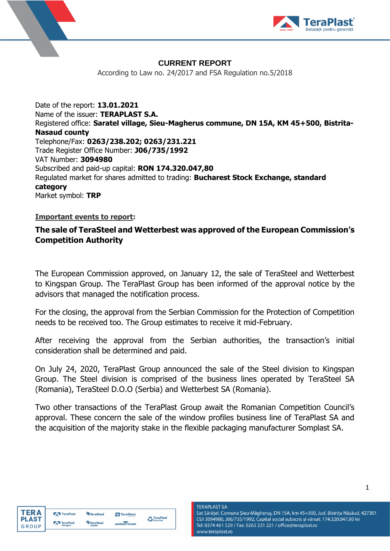



## **CURRENT REPORT**

According to Law no. 24/2017 and FSA Regulation no.5/2018

Date of the report: **13.01.2021** Name of the issuer: **TERAPLAST S.A.** Registered office: **Saratel village, Sieu-Magherus commune, DN 15A, KM 45+500, Bistrita-Nasaud county** Telephone/Fax: **0263/238.202; 0263/231.221** Trade Register Office Number: **J06/735/1992** VAT Number: **3094980** Subscribed and paid-up capital: **RON 174.320.047,80** Regulated market for shares admitted to trading: **Bucharest Stock Exchange, standard category** Market symbol: **TRP**

### **Important events to report:**

# **The sale of TeraSteel and Wetterbest was approved of the European Commission's Competition Authority**

The European Commission approved, on January 12, the sale of TeraSteel and Wetterbest to Kingspan Group. The TeraPlast Group has been informed of the approval notice by the advisors that managed the notification process.

For the closing, the approval from the Serbian Commission for the Protection of Competition needs to be received too. The Group estimates to receive it mid-February.

After receiving the approval from the Serbian authorities, the transaction's initial consideration shall be determined and paid.

On July 24, 2020, TeraPlast Group announced the sale of the Steel division to Kingspan Group. The Steel division is comprised of the business lines operated by TeraSteel SA (Romania), TeraSteel D.O.O (Serbia) and Wetterbest SA (Romania).

Two other transactions of the TeraPlast Group await the Romanian Competition Council's approval. These concern the sale of the window profiles business line of TeraPlast SA and the acquisition of the majority stake in the flexible packaging manufacturer Somplast SA.

www.teraplast.ro



|   | TeraPlast | TeraSteel        | <b>N</b> TeraGlass | TeraPlast<br>$\leftarrow$ Recycling |
|---|-----------|------------------|--------------------|-------------------------------------|
| D | TeraPlast | <b>TeraSteel</b> | wetterbest         |                                     |

#### **TERAPLAST SA** Sat Sărățel, Comuna Șieu-Măgheruș, DN 15A, km 45+500, Jud. Bistrița Năsăud, 427301 CUI 3094980, J06/735/1992, Capital social subscris și vărsat: 174.320.047,80 lei Tel: 0374 461 529 / Fax: 0263 231 221 / office@teraplast.ro